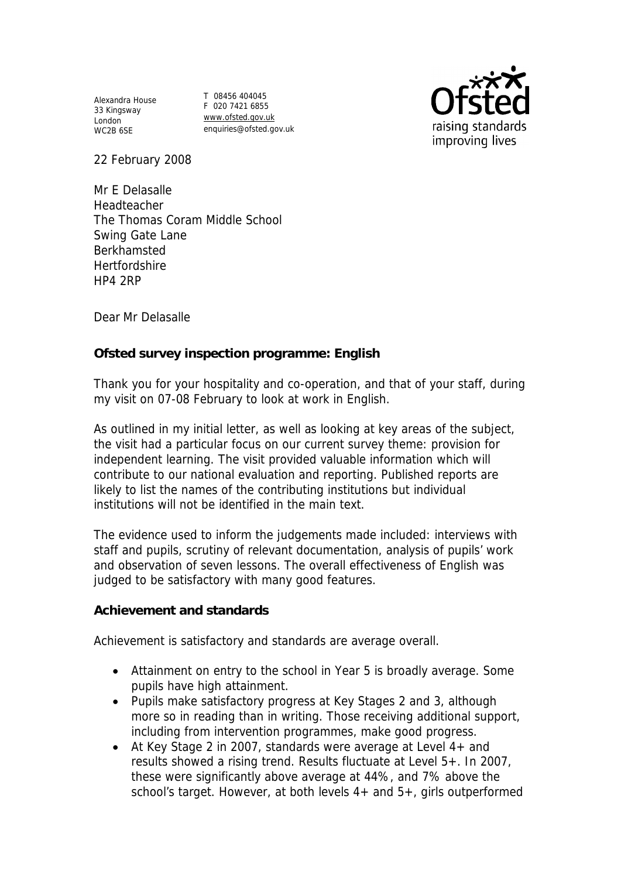Alexandra House 33 Kingsway 33 Kingsway<br>London WC2B 6SE

T 08456 404045 F 020 7421 6855 www.ofsted.gov.uk enquiries@ofsted.gov.uk



22 February 2008

Mr E Delasalle Headteacher The Thomas Coram Middle School Swing Gate Lane Berkhamsted **Hertfordshire** HP4 2RP

Dear Mr Delasalle

**Ofsted survey inspection programme: English** 

Thank you for your hospitality and co-operation, and that of your staff, during my visit on 07-08 February to look at work in English.

As outlined in my initial letter, as well as looking at key areas of the subject, the visit had a particular focus on our current survey theme: provision for independent learning. The visit provided valuable information which will contribute to our national evaluation and reporting. Published reports are likely to list the names of the contributing institutions but individual institutions will not be identified in the main text.

The evidence used to inform the judgements made included: interviews with staff and pupils, scrutiny of relevant documentation, analysis of pupils' work and observation of seven lessons. The overall effectiveness of English was judged to be satisfactory with many good features.

**Achievement and standards** 

Achievement is satisfactory and standards are average overall.

- Attainment on entry to the school in Year 5 is broadly average. Some pupils have high attainment.
- Pupils make satisfactory progress at Key Stages 2 and 3, although more so in reading than in writing. Those receiving additional support, including from intervention programmes, make good progress.
- At Key Stage 2 in 2007, standards were average at Level 4+ and results showed a rising trend. Results fluctuate at Level 5+. In 2007, these were significantly above average at 44%, and 7% above the school's target. However, at both levels 4+ and 5+, girls outperformed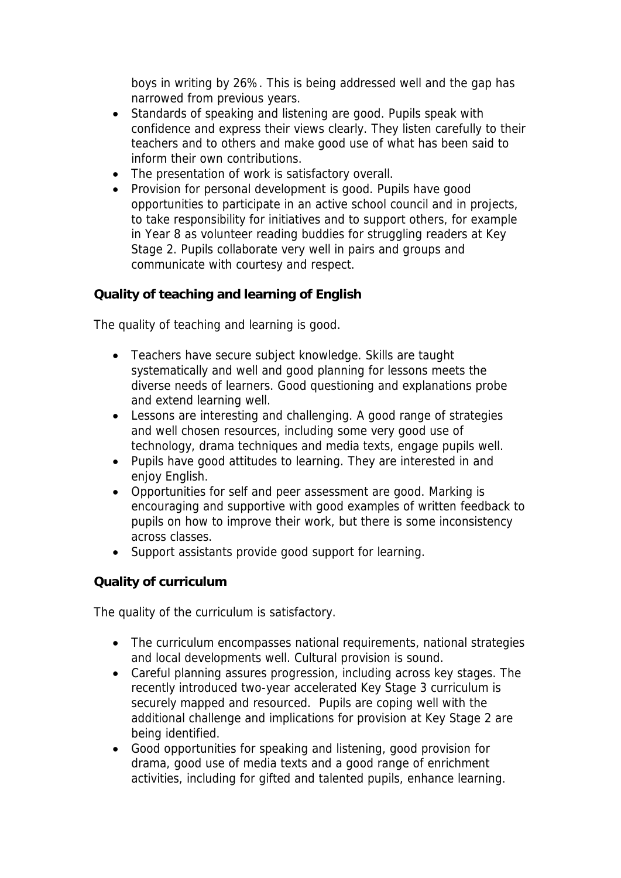boys in writing by 26%. This is being addressed well and the gap has narrowed from previous years.

- Standards of speaking and listening are good. Pupils speak with confidence and express their views clearly. They listen carefully to their teachers and to others and make good use of what has been said to inform their own contributions.
- The presentation of work is satisfactory overall.
- Provision for personal development is good. Pupils have good opportunities to participate in an active school council and in projects, to take responsibility for initiatives and to support others, for example in Year 8 as volunteer reading buddies for struggling readers at Key Stage 2. Pupils collaborate very well in pairs and groups and communicate with courtesy and respect.

**Quality of teaching and learning of English**

The quality of teaching and learning is good.

- Teachers have secure subject knowledge. Skills are taught systematically and well and good planning for lessons meets the diverse needs of learners. Good questioning and explanations probe and extend learning well.
- Lessons are interesting and challenging. A good range of strategies and well chosen resources, including some very good use of technology, drama techniques and media texts, engage pupils well.
- Pupils have good attitudes to learning. They are interested in and enjoy English.
- Opportunities for self and peer assessment are good. Marking is encouraging and supportive with good examples of written feedback to pupils on how to improve their work, but there is some inconsistency across classes.
- Support assistants provide good support for learning.

**Quality of curriculum** 

The quality of the curriculum is satisfactory.

- The curriculum encompasses national requirements, national strategies and local developments well. Cultural provision is sound.
- Careful planning assures progression, including across key stages. The recently introduced two-year accelerated Key Stage 3 curriculum is securely mapped and resourced. Pupils are coping well with the additional challenge and implications for provision at Key Stage 2 are being identified.
- Good opportunities for speaking and listening, good provision for drama, good use of media texts and a good range of enrichment activities, including for gifted and talented pupils, enhance learning.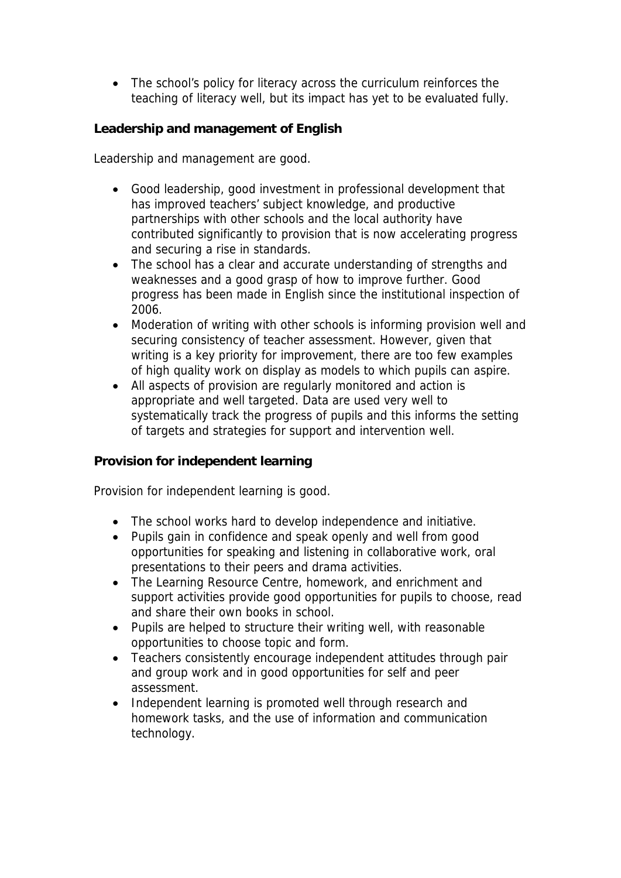• The school's policy for literacy across the curriculum reinforces the teaching of literacy well, but its impact has yet to be evaluated fully.

**Leadership and management of English**

Leadership and management are good.

- Good leadership, good investment in professional development that has improved teachers' subject knowledge, and productive partnerships with other schools and the local authority have contributed significantly to provision that is now accelerating progress and securing a rise in standards.
- The school has a clear and accurate understanding of strengths and weaknesses and a good grasp of how to improve further. Good progress has been made in English since the institutional inspection of 2006.
- Moderation of writing with other schools is informing provision well and securing consistency of teacher assessment. However, given that writing is a key priority for improvement, there are too few examples of high quality work on display as models to which pupils can aspire.
- All aspects of provision are regularly monitored and action is appropriate and well targeted. Data are used very well to systematically track the progress of pupils and this informs the setting of targets and strategies for support and intervention well.

**Provision for independent learning** 

Provision for independent learning is good.

- The school works hard to develop independence and initiative.
- Pupils gain in confidence and speak openly and well from good opportunities for speaking and listening in collaborative work, oral presentations to their peers and drama activities.
- The Learning Resource Centre, homework, and enrichment and support activities provide good opportunities for pupils to choose, read and share their own books in school.
- Pupils are helped to structure their writing well, with reasonable opportunities to choose topic and form.
- Teachers consistently encourage independent attitudes through pair and group work and in good opportunities for self and peer assessment.
- Independent learning is promoted well through research and homework tasks, and the use of information and communication technology.